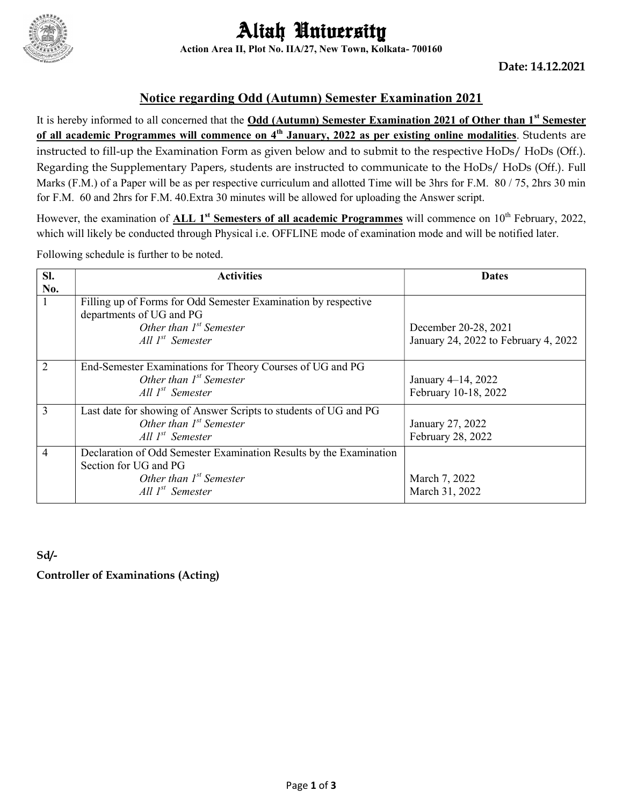

# Aliah University Action Area II, Plot No. IIA/27, New Town, Kolkata- 700160

### Notice regarding Odd (Autumn) Semester Examination 2021

It is hereby informed to all concerned that the Odd (Autumn) Semester Examination 2021 of Other than 1<sup>st</sup> Semester of all academic Programmes will commence on 4<sup>th</sup> January, 2022 as per existing online modalities. Students are instructed to fill-up the Examination Form as given below and to submit to the respective HoDs/ HoDs (Off.). Regarding the Supplementary Papers, students are instructed to communicate to the HoDs/ HoDs (Off.). Full Marks (F.M.) of a Paper will be as per respective curriculum and allotted Time will be 3hrs for F.M. 80 / 75, 2hrs 30 min for F.M. 60 and 2hrs for F.M. 40.Extra 30 minutes will be allowed for uploading the Answer script.

However, the examination of ALL 1<sup>st</sup> Semesters of all academic Programmes will commence on  $10^{th}$  February, 2022, which will likely be conducted through Physical i.e. OFFLINE mode of examination mode and will be notified later.

Following schedule is further to be noted.

| SI.            | <b>Activities</b>                                                                                                                                       | <b>Dates</b>                               |
|----------------|---------------------------------------------------------------------------------------------------------------------------------------------------------|--------------------------------------------|
| No.            |                                                                                                                                                         |                                            |
|                | Filling up of Forms for Odd Semester Examination by respective<br>departments of UG and PG                                                              |                                            |
|                | Other than $I^{st}$ Semester                                                                                                                            | December 20-28, 2021                       |
|                | All $I^{st}$ Semester                                                                                                                                   | January 24, 2022 to February 4, 2022       |
| $\overline{2}$ | End-Semester Examinations for Theory Courses of UG and PG<br>Other than $I^{st}$ Semester<br>All $I^{st}$ Semester                                      | January 4–14, 2022<br>February 10-18, 2022 |
| 3              | Last date for showing of Answer Scripts to students of UG and PG<br>Other than $I^{st}$ Semester<br>All $I^{st}$ Semester                               | January 27, 2022<br>February 28, 2022      |
| 4              | Declaration of Odd Semester Examination Results by the Examination<br>Section for UG and PG<br>Other than $I^{st}$ Semester<br>$All \, I^{st}$ Semester | March 7, 2022<br>March 31, 2022            |

Sd/-

Controller of Examinations (Acting)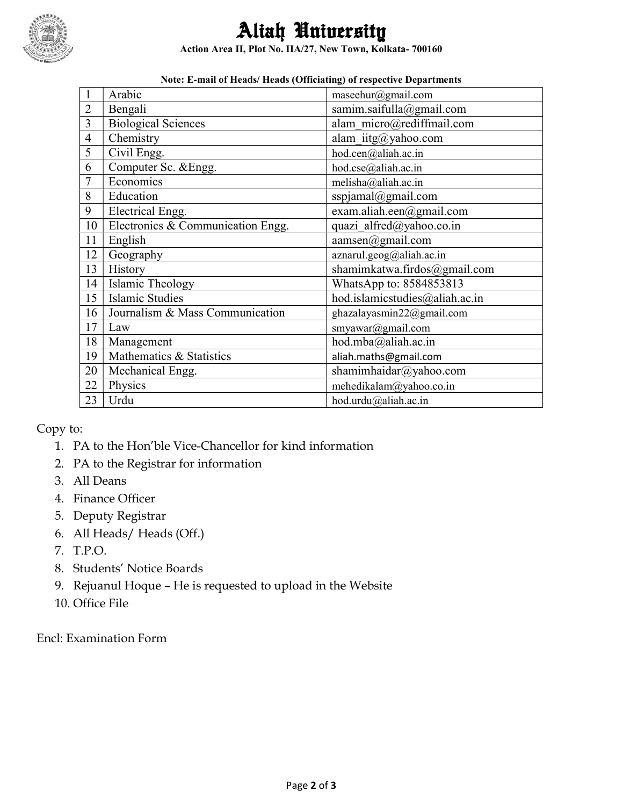

# Aliah University

Action Area II, Plot No. IIA/27, New Town, Kolkata- 700160

|                | voic. E-man of ficaus/ ficaus (Officiating) of respective Departments |                                |  |  |  |  |  |
|----------------|-----------------------------------------------------------------------|--------------------------------|--|--|--|--|--|
| $\mathbf{1}$   | Arabic                                                                | maseehur@gmail.com             |  |  |  |  |  |
| $\overline{2}$ | Bengali                                                               | samim.saifulla@gmail.com       |  |  |  |  |  |
| $\overline{3}$ | <b>Biological Sciences</b>                                            | alam micro@rediffmail.com      |  |  |  |  |  |
| $\overline{4}$ | Chemistry                                                             | alam $i$ itg@yahoo.com         |  |  |  |  |  |
| 5              | Civil Engg.                                                           | hod.cen@aliah.ac.in            |  |  |  |  |  |
| 6              | Computer Sc. & Engg.                                                  | hod.cse@aliah.ac.in            |  |  |  |  |  |
| $\overline{7}$ | Economics                                                             | melisha@aliah.ac.in            |  |  |  |  |  |
| 8              | Education                                                             | sspjamal@gmail.com             |  |  |  |  |  |
| 9              | Electrical Engg.                                                      | exam.aliah.een@gmail.com       |  |  |  |  |  |
| 10             | Electronics & Communication Engg.                                     | quazi alfred@yahoo.co.in       |  |  |  |  |  |
| 11             | English                                                               | aamsen@gmail.com               |  |  |  |  |  |
| 12             | Geography                                                             | aznarul.geog@aliah.ac.in       |  |  |  |  |  |
| 13             | History                                                               | shamimkatwa.firdos@gmail.com   |  |  |  |  |  |
| 14             | Islamic Theology                                                      | WhatsApp to: 8584853813        |  |  |  |  |  |
| 15             | <b>Islamic Studies</b>                                                | hod.islamicstudies@aliah.ac.in |  |  |  |  |  |
| 16             | Journalism & Mass Communication                                       | ghazalayasmin22@gmail.com      |  |  |  |  |  |
| 17             | Law                                                                   | smyawar@gmail.com              |  |  |  |  |  |
| 18             | Management                                                            | hod.mba@aliah.ac.in            |  |  |  |  |  |
| 19             | Mathematics & Statistics                                              | aliah.maths@gmail.com          |  |  |  |  |  |
| 20             | Mechanical Engg.                                                      | shamimhaidar@yahoo.com         |  |  |  |  |  |
| 22             | Physics                                                               | mehedikalam@yahoo.co.in        |  |  |  |  |  |
| 23             | Urdu                                                                  | hod.urdu@aliah.ac.in           |  |  |  |  |  |

#### Note: E-mail of Heads/ Heads (Officiating) of respective Departments

Copy to:

- 1. PA to the Hon'ble Vice-Chancellor for kind information
- 2. PA to the Registrar for information
- 3. All Deans
- 4. Finance Officer
- 5. Deputy Registrar
- 6. All Heads/ Heads (Off.)
- 7. T.P.O.
- 8. Students' Notice Boards
- 9. Rejuanul Hoque He is requested to upload in the Website
- 10. Office File

Encl: Examination Form